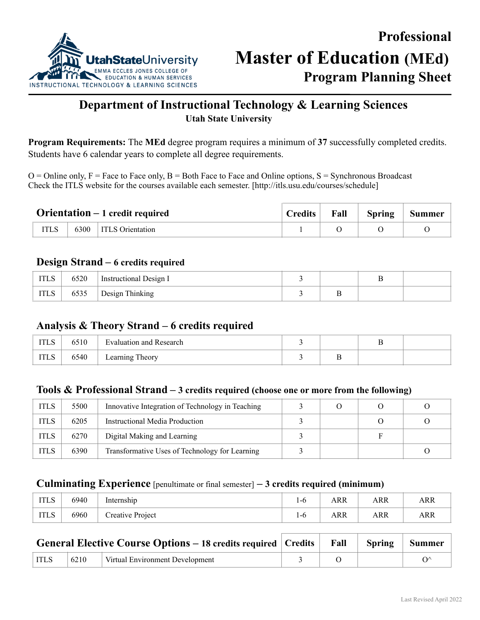

# **Department of Instructional Technology & Learning Sciences Utah State University**

**Program Requirements:** The **MEd** degree program requires a minimum of **37** successfully completed credits. Students have 6 calendar years to complete all degree requirements.

 $O =$ Online only,  $F =$  Face to Face only,  $B =$  Both Face to Face and Online options,  $S =$  Synchronous Broadcast Check the ITLS website for the courses available each semester. [http://itls.usu.edu/courses/schedule]

| <b>Orientation</b> $-1$ credit required |  | Credits                 | Fall | Spring Summer |  |  |
|-----------------------------------------|--|-------------------------|------|---------------|--|--|
|                                         |  | 6300   ITLS Orientation |      |               |  |  |

## **Design Strand – 6 credits required**

| <b>ITLS</b> | 6520 | Instructional Design I |   |  |
|-------------|------|------------------------|---|--|
| <b>ITLS</b> | 6535 | Design Thinking        | ∸ |  |

## **Analysis & Theory Strand – 6 credits required**

| T T T G<br>11 L.O     | 6510 | $\blacksquare$<br>Evaluation and Research |   |  |
|-----------------------|------|-------------------------------------------|---|--|
| <b>TOOT</b><br>11 L.O | 6540 | Theory<br>Learning                        | - |  |

# **Tools & Professional Strand – 3 credits required (choose one or more from the following)**

| <b>ITLS</b> | 5500 | Innovative Integration of Technology in Teaching |  |  |
|-------------|------|--------------------------------------------------|--|--|
| <b>ITLS</b> | 6205 | Instructional Media Production                   |  |  |
| <b>ITLS</b> | 6270 | Digital Making and Learning                      |  |  |
| <b>ITLS</b> | 6390 | Transformative Uses of Technology for Learning   |  |  |

### **Culminating Experience** [penultimate or final semester] **– 3 credits required (minimum)**

| <b>ITLS</b> | 6940 | $\cdot$ $\cdot$<br>Internship | ! -ხ | ARR | ARR | <b>ARR</b> |
|-------------|------|-------------------------------|------|-----|-----|------------|
| <b>ITLS</b> | 6960 | Creative Project              | 1-0  | ARR | ARR | ARR        |

|             |      | <b>General Elective Course Options – 18 credits required   Credits   Fall   Spring   Summer</b> |  |  |
|-------------|------|-------------------------------------------------------------------------------------------------|--|--|
| <b>ITLS</b> | 6210 | Virtual Environment Development                                                                 |  |  |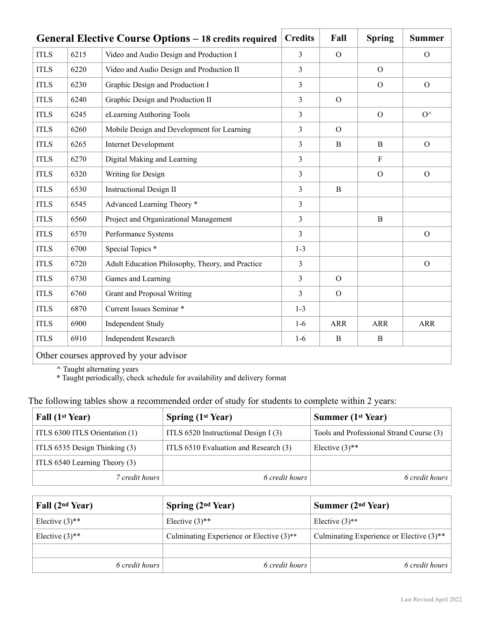|             |      | General Elective Course Options – 18 credits required | <b>Credits</b> | Fall       | <b>Spring</b>  | <b>Summer</b> |
|-------------|------|-------------------------------------------------------|----------------|------------|----------------|---------------|
| <b>ITLS</b> | 6215 | Video and Audio Design and Production I               | 3              | $\Omega$   |                | $\Omega$      |
| <b>ITLS</b> | 6220 | Video and Audio Design and Production II              | 3              |            | $\Omega$       |               |
| <b>ITLS</b> | 6230 | Graphic Design and Production I                       | 3              |            | $\overline{O}$ | $\Omega$      |
| <b>ITLS</b> | 6240 | Graphic Design and Production II                      | 3              | $\Omega$   |                |               |
| <b>ITLS</b> | 6245 | eLearning Authoring Tools                             | 3              |            | $\mathcal{O}$  | $O^{\wedge}$  |
| <b>ITLS</b> | 6260 | Mobile Design and Development for Learning            | 3              | $\Omega$   |                |               |
| <b>ITLS</b> | 6265 | <b>Internet Development</b>                           | 3              | B          | B              | $\Omega$      |
| <b>ITLS</b> | 6270 | Digital Making and Learning                           | $\overline{3}$ |            | $\mathbf{F}$   |               |
| <b>ITLS</b> | 6320 | Writing for Design                                    | 3              |            | $\Omega$       | $\Omega$      |
| <b>ITLS</b> | 6530 | <b>Instructional Design II</b>                        | 3              | B          |                |               |
| <b>ITLS</b> | 6545 | Advanced Learning Theory *                            | $\overline{3}$ |            |                |               |
| <b>ITLS</b> | 6560 | Project and Organizational Management                 | 3              |            | B              |               |
| <b>ITLS</b> | 6570 | Performance Systems                                   | 3              |            |                | $\Omega$      |
| <b>ITLS</b> | 6700 | Special Topics <sup>*</sup>                           | $1 - 3$        |            |                |               |
| <b>ITLS</b> | 6720 | Adult Education Philosophy, Theory, and Practice      | 3              |            |                | $\mathcal{O}$ |
| <b>ITLS</b> | 6730 | Games and Learning                                    | 3              | $\Omega$   |                |               |
| <b>ITLS</b> | 6760 | <b>Grant and Proposal Writing</b>                     | 3              | $\Omega$   |                |               |
| <b>ITLS</b> | 6870 | Current Issues Seminar *                              | $1 - 3$        |            |                |               |
| <b>ITLS</b> | 6900 | <b>Independent Study</b>                              | $1-6$          | <b>ARR</b> | <b>ARR</b>     | <b>ARR</b>    |
| <b>ITLS</b> | 6910 | <b>Independent Research</b>                           | $1-6$          | B          | $\mathbf B$    |               |
|             |      | Other courses approved by your advisor                |                |            |                |               |

**^** Taught alternating years

\* Taught periodically, check schedule for availability and delivery format

The following tables show a recommended order of study for students to complete within 2 years:

| Fall (1 <sup>st</sup> Year)    | <b>Spring (1st Year)</b>              | <b>Summer (1st Year)</b>                 |
|--------------------------------|---------------------------------------|------------------------------------------|
| ITLS 6300 ITLS Orientation (1) | ITLS 6520 Instructional Design I (3)  | Tools and Professional Strand Course (3) |
| ITLS 6535 Design Thinking (3)  | ITLS 6510 Evaluation and Research (3) | Elective $(3)$ <sup>**</sup>             |
| ITLS 6540 Learning Theory (3)  |                                       |                                          |
| 7 credit hours                 | 6 credit hours                        | 6 credit hours                           |

| Fall (2 <sup>nd</sup> Year)  | Spring $(2nd Year)$                      | Summer $(2nd Year)$                                    |
|------------------------------|------------------------------------------|--------------------------------------------------------|
| Elective $(3)$ <sup>**</sup> | Elective $(3)$ <sup>**</sup>             | Elective $(3)$ <sup>**</sup>                           |
| Elective $(3)$ <sup>**</sup> | Culminating Experience or Elective (3)** | Culminating Experience or Elective $(3)$ <sup>**</sup> |
|                              |                                          |                                                        |
| 6 credit hours               | 6 credit hours                           | 6 credit hours                                         |